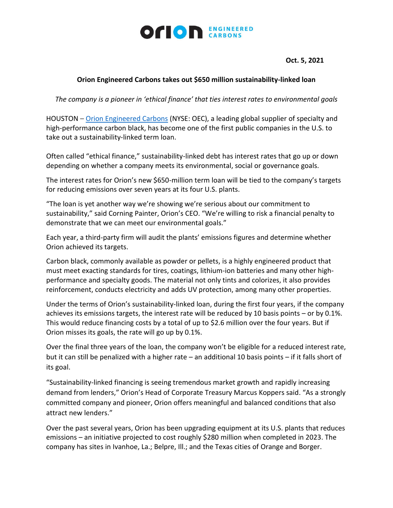

## **Oct. 5, 2021**

## **Orion Engineered Carbons takes out \$650 million sustainability-linked loan**

*The company is a pioneer in 'ethical finance' that ties interest rates to environmental goals*

HOUSTON – [Orion Engineered Carbons](https://www.orioncarbons.com/index_en.php) (NYSE: OEC), a leading global supplier of specialty and high-performance carbon black, has become one of the first public companies in the U.S. to take out a sustainability-linked term loan.

Often called "ethical finance," sustainability-linked debt has interest rates that go up or down depending on whether a company meets its environmental, social or governance goals.

The interest rates for Orion's new \$650-million term loan will be tied to the company's targets for reducing emissions over seven years at its four U.S. plants.

"The loan is yet another way we're showing we're serious about our commitment to sustainability," said Corning Painter, Orion's CEO. "We're willing to risk a financial penalty to demonstrate that we can meet our environmental goals."

Each year, a third-party firm will audit the plants' emissions figures and determine whether Orion achieved its targets.

Carbon black, commonly available as powder or pellets, is a highly engineered product that must meet exacting standards for tires, coatings, lithium-ion batteries and many other highperformance and specialty goods. The material not only tints and colorizes, it also provides reinforcement, conducts electricity and adds UV protection, among many other properties.

Under the terms of Orion's sustainability-linked loan, during the first four years, if the company achieves its emissions targets, the interest rate will be reduced by 10 basis points – or by 0.1%. This would reduce financing costs by a total of up to \$2.6 million over the four years. But if Orion misses its goals, the rate will go up by 0.1%.

Over the final three years of the loan, the company won't be eligible for a reduced interest rate, but it can still be penalized with a higher rate – an additional 10 basis points – if it falls short of its goal.

"Sustainability-linked financing is seeing tremendous market growth and rapidly increasing demand from lenders," Orion's Head of Corporate Treasury Marcus Koppers said. "As a strongly committed company and pioneer, Orion offers meaningful and balanced conditions that also attract new lenders."

Over the past several years, Orion has been upgrading equipment at its U.S. plants that reduces emissions – an initiative projected to cost roughly \$280 million when completed in 2023. The company has sites in Ivanhoe, La.; Belpre, Ill.; and the Texas cities of Orange and Borger.